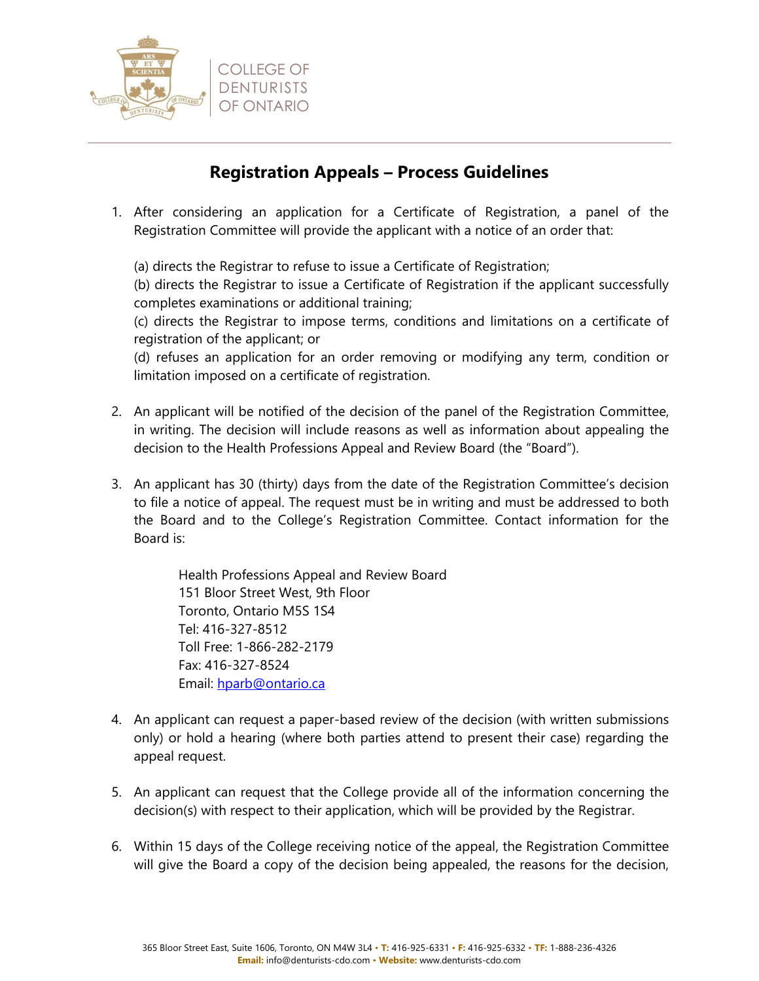

## **Registration Appeals – Process Guidelines**

1. After considering an application for a Certificate of Registration, a panel of the Registration Committee will provide the applicant with a notice of an order that:

(a) directs the Registrar to refuse to issue a Certificate of Registration;

(b) directs the Registrar to issue a Certificate of Registration if the applicant successfully completes examinations or additional training;

(c) directs the Registrar to impose terms, conditions and limitations on a certificate of registration of the applicant; or

(d) refuses an application for an order removing or modifying any term, condition or limitation imposed on a certificate of registration.

- 2. An applicant will be notified of the decision of the panel of the Registration Committee, in writing. The decision will include reasons as well as information about appealing the decision to the Health Professions Appeal and Review Board (the "Board").
- 3. An applicant has 30 (thirty) days from the date of the Registration Committee's decision to file a notice of appeal. The request must be in writing and must be addressed to both the Board and to the College's Registration Committee. Contact information for the Board is:

Health Professions Appeal and Review Board 151 Bloor Street West, 9th Floor Toronto, Ontario M5S 1S4 Tel: 416-327-8512 Toll Free: 1-866-282-2179 Fax: 416-327-8524 Email: [hparb@ontario.ca](mailto:hparb@ontario.ca)

- 4. An applicant can request a paper-based review of the decision (with written submissions only) or hold a hearing (where both parties attend to present their case) regarding the appeal request.
- 5. An applicant can request that the College provide all of the information concerning the decision(s) with respect to their application, which will be provided by the Registrar.
- 6. Within 15 days of the College receiving notice of the appeal, the Registration Committee will give the Board a copy of the decision being appealed, the reasons for the decision,